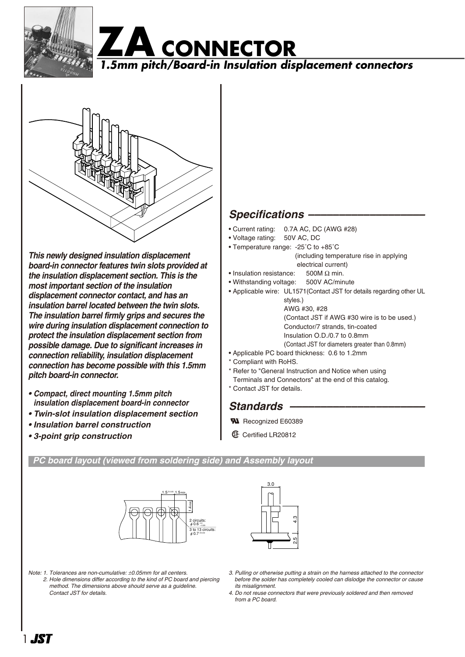





*This newly designed insulation displacement board-in connector features twin slots provided at the insulation displacement section. This is the most important section of the insulation displacement connector contact, and has an insulation barrel located between the twin slots. The insulation barrel firmly grips and secures the wire during insulation displacement connection to protect the insulation displacement section from possible damage. Due to significant increases in connection reliability, insulation displacement connection has become possible with this 1.5mm pitch board-in connector.*

- *Compact, direct mounting 1.5mm pitch insulation displacement board-in connector*
- *Twin-slot insulation displacement section*
- *Insulation barrel construction*
- *3-point grip construction*

## *Specifications –––––––––––––––––––*

- Current rating: 0.7A AC, DC (AWG #28)
- Voltage rating: 50V AC, DC
- Temperature range: -25˚C to +85˚C (including temperature rise in applying electrical current)
- Insulation resistance: 500M  $\Omega$  min.
- Withstanding voltage: 500V AC/minute
- Applicable wire: UL1571(Contact JST for details regarding other UL

styles.) AWG #30, #28 (Contact JST if AWG #30 wire is to be used.) Conductor/7 strands, tin-coated Insulation O.D./0.7 to 0.8mm (Contact JST for diameters greater than 0.8mm)

- Applicable PC board thickness: 0.6 to 1.2mm
- \* Compliant with RoHS.
- 
- \* Refer to "General Instruction and Notice when using Terminals and Connectors" at the end of this catalog.
- \* Contact JST for details.
- Standards –
- **W** Recognized E60389
- **1** Certified LR20812

### *PC board layout (viewed from soldering side) and Assembly layout*





*Note: 1. Tolerances are non-cumulative:* ±*0.05mm for all centers.*

- *2. Hole dimensions differ according to the kind of PC board and piercing method. The dimensions above should serve as a guideline. Contact JST for details.*
- *3. Pulling or otherwise putting a strain on the harness attached to the connector before the solder has completely cooled can dislodge the connector or cause its misalignment.*
- *4. Do not reuse connectors that were previously soldered and then removed from a PC board.*